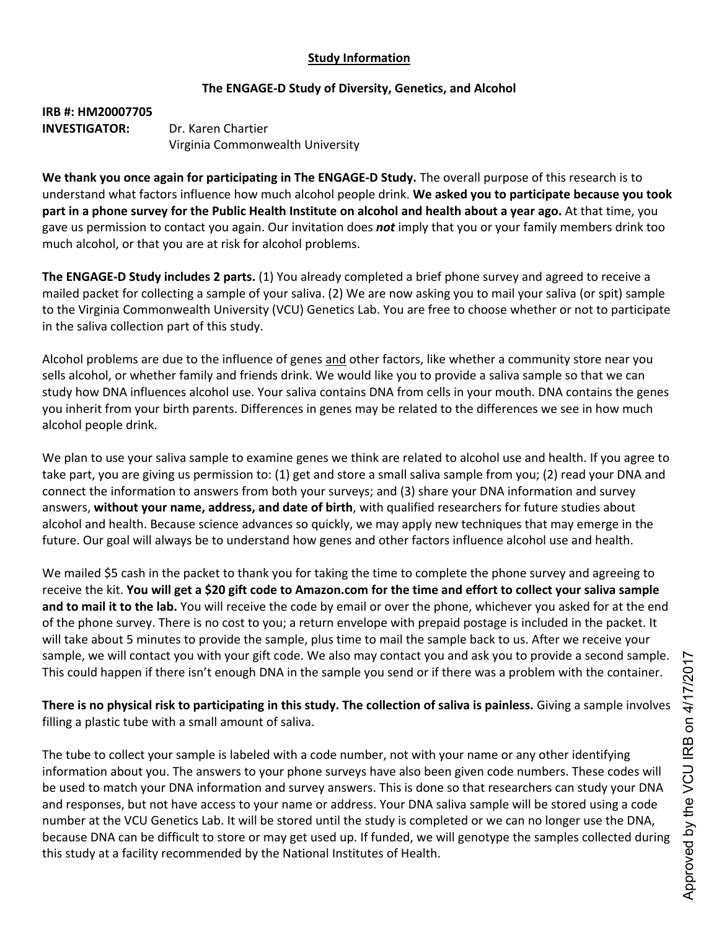## **Study Information**

## **The ENGAGE-D Study of Diversity, Genetics, and Alcohol**

**IRB #: HM20007705 INVESTIGATOR:** Dr. Karen Chartier Virginia Commonwealth University

**We thank you once again for participating in The ENGAGE-D Study.** The overall purpose of this research is to understand what factors influence how much alcohol people drink. **We asked you to participate because you took** part in a phone survey for the Public Health Institute on alcohol and health about a year ago. At that time, you gave us permission to contact you again. Our invitation does *not* imply that you or your family members drink too much alcohol, or that you are at risk for alcohol problems.

**The ENGAGE-D Study includes 2 parts.** (1) You already completed a brief phone survey and agreed to receive a mailed packet for collecting a sample of your saliva. (2) We are now asking you to mail your saliva (or spit) sample to the Virginia Commonwealth University (VCU) Genetics Lab. You are free to choose whether or not to participate in the saliva collection part of this study.

Alcohol problems are due to the influence of genes and other factors, like whether a community store near you sells alcohol, or whether family and friends drink. We would like you to provide a saliva sample so that we can study how DNA influences alcohol use. Your saliva contains DNA from cells in your mouth. DNA contains the genes you inherit from your birth parents. Differences in genes may be related to the differences we see in how much alcohol people drink.

We plan to use your saliva sample to examine genes we think are related to alcohol use and health. If you agree to take part, you are giving us permission to: (1) get and store a small saliva sample from you; (2) read your DNA and connect the information to answers from both your surveys; and (3) share your DNA information and survey answers, **without your name, address, and date of birth**, with qualified researchers for future studies about alcohol and health. Because science advances so quickly, we may apply new techniques that may emerge in the future. Our goal will always be to understand how genes and other factors influence alcohol use and health.

We mailed \$5 cash in the packet to thank you for taking the time to complete the phone survey and agreeing to receive the kit. You will get a \$20 gift code to Amazon.com for the time and effort to collect your saliva sample **and to mail it to the lab.** You will receive the code by email or over the phone, whichever you asked for at the end of the phone survey. There is no cost to you; a return envelope with prepaid postage is included in the packet. It will take about 5 minutes to provide the sample, plus time to mail the sample back to us. After we receive your sample, we will contact you with your gift code. We also may contact you and ask you to provide a second sample. This could happen if there isn't enough DNA in the sample you send or if there was a problem with the container.

There is no physical risk to participating in this study. The collection of saliva is painless. Giving a sample involves filling a plastic tube with a small amount of saliva.

The tube to collect your sample is labeled with a code number, not with your name or any other identifying information about you. The answers to your phone surveys have also been given code numbers. These codes will be used to match your DNA information and survey answers. This is done so that researchers can study your DNA and responses, but not have access to your name or address. Your DNA saliva sample will be stored using a code number at the VCU Genetics Lab. It will be stored until the study is completed or we can no longer use the DNA, because DNA can be difficult to store or may get used up. If funded, we will genotype the samples collected during this study at a facility recommended by the National Institutes of Health.